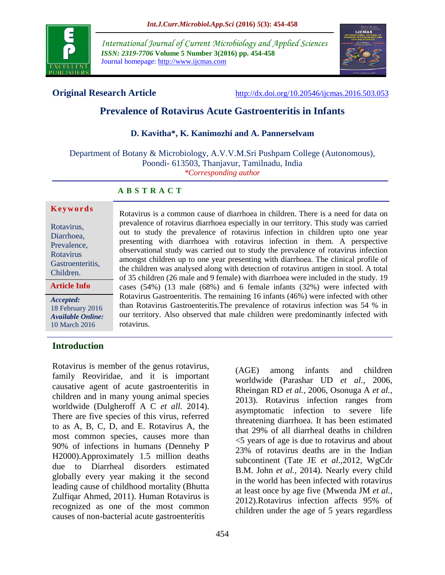

*International Journal of Current Microbiology and Applied Sciences ISSN: 2319-7706* **Volume 5 Number 3(2016) pp. 454-458** Journal homepage: http://www.ijcmas.com



**Original Research Article** <http://dx.doi.org/10.20546/ijcmas.2016.503.053>

# **Prevalence of Rotavirus Acute Gastroenteritis in Infants**

#### **D. Kavitha\*, K. Kanimozhi and A. Pannerselvam**

Department of Botany & Microbiology, A.V.V.M.Sri Pushpam College (Autonomous), Poondi- 613503, Thanjavur, Tamilnadu, India *\*Corresponding author*

#### **A B S T R A C T**

#### **K e y w o r d s**

Rotavirus, Diarrhoea, Prevalence, Rotavirus Gastroenteritis, Children.

*Accepted:*  **Article Info**

18 February 2016 *Available Online:* 10 March 2016

prevalence of rotavirus diarrhoea especially in our territory. This study was carried out to study the prevalence of rotavirus infection in children upto one year presenting with diarrhoea with rotavirus infection in them. A perspective observational study was carried out to study the prevalence of rotavirus infection amongst children up to one year presenting with diarrhoea. The clinical profile of the children was analysed along with detection of rotavirus antigen in stool. A total of 35 children (26 male and 9 female) with diarrhoea were included in the study. 19 cases (54%) (13 male (68%) and 6 female infants (32%) were infected with Rotavirus Gastroenteritis. The remaining 16 infants (46%) were infected with other than Rotavirus Gastroenteritis.The prevalence of rotavirus infection was 54 % in our territory. Also observed that male children were predominantly infected with rotavirus.

Rotavirus is a common cause of diarrhoea in children. There is a need for data on

## **Introduction**

Rotavirus is member of the genus rotavirus, family Reoviridae, and it is important causative agent of acute gastroenteritis in children and in many young animal species worldwide (Dulgheroff A C *et all.* 2014). There are five species of this virus, referred to as A, B, C, D, and E. Rotavirus A, the most common species, causes more than 90% of infections in humans (Dennehy P H2000).Approximately 1.5 million deaths due to Diarrheal disorders estimated globally every year making it the second leading cause of childhood mortality (Bhutta Zulfiqar Ahmed, 2011). Human Rotavirus is recognized as one of the most common causes of non-bacterial acute gastroenteritis

(AGE) among infants and children worldwide (Parashar UD *et al.,* 2006, Rheingan RD *et al.,* 2006, Osonuga A *et al.,* 2013). Rotavirus infection ranges from asymptomatic infection to severe life threatening diarrhoea. It has been estimated that 29% of all diarrheal deaths in children <5 years of age is due to rotavirus and about 23% of rotavirus deaths are in the Indian subcontinent (Tate JE *et al.,*2012, WgCdr B.M. John *et al.,* 2014). Nearly every child in the world has been infected with rotavirus at least once by age five (Mwenda JM *et al.,* 2012).Rotavirus infection affects 95% of children under the age of 5 years regardless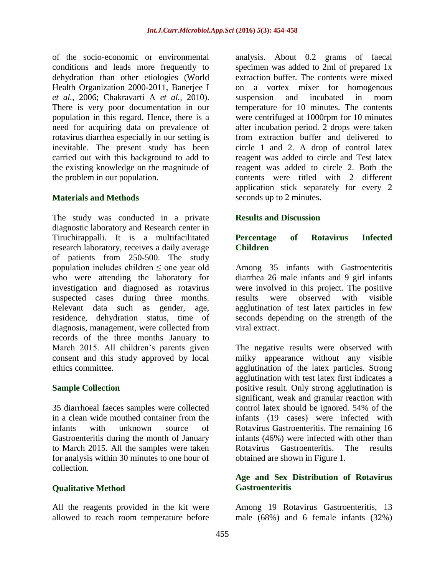of the socio-economic or environmental conditions and leads more frequently to dehydration than other etiologies (World Health Organization 2000-2011, Banerjee I *et al.,* 2006; Chakravarti A *et al.,* 2010). There is very poor documentation in our population in this regard. Hence, there is a need for acquiring data on prevalence of rotavirus diarrhea especially in our setting is inevitable. The present study has been carried out with this background to add to the existing knowledge on the magnitude of the problem in our population.

## **Materials and Methods**

The study was conducted in a private diagnostic laboratory and Research center in Tiruchirappalli. It is a multifacilitated research laboratory, receives a daily average of patients from 250-500. The study population includes children ≤ one year old who were attending the laboratory for investigation and diagnosed as rotavirus suspected cases during three months. Relevant data such as gender, age, residence, dehydration status, time of diagnosis, management, were collected from records of the three months January to March 2015. All children's parents given consent and this study approved by local ethics committee.

#### **Sample Collection**

35 diarrhoeal faeces samples were collected in a clean wide mouthed container from the infants with unknown source of Gastroenteritis during the month of January to March 2015. All the samples were taken for analysis within 30 minutes to one hour of collection.

## **Qualitative Method**

All the reagents provided in the kit were allowed to reach room temperature before

analysis. About 0.2 grams of faecal specimen was added to 2ml of prepared 1x extraction buffer. The contents were mixed on a vortex mixer for homogenous suspension and incubated in room temperature for 10 minutes. The contents were centrifuged at 1000rpm for 10 minutes after incubation period. 2 drops were taken from extraction buffer and delivered to circle 1 and 2. A drop of control latex reagent was added to circle and Test latex reagent was added to circle 2. Both the contents were titled with 2 different application stick separately for every 2 seconds up to 2 minutes.

## **Results and Discussion**

#### **Percentage of Rotavirus Infected Children**

Among 35 infants with Gastroenteritis diarrhea 26 male infants and 9 girl infants were involved in this project. The positive results were observed with visible agglutination of test latex particles in few seconds depending on the strength of the viral extract.

The negative results were observed with milky appearance without any visible agglutination of the latex particles. Strong agglutination with test latex first indicates a positive result. Only strong agglutination is significant, weak and granular reaction with control latex should be ignored. 54% of the infants (19 cases) were infected with Rotavirus Gastroenteritis. The remaining 16 infants (46%) were infected with other than Rotavirus Gastroenteritis. The results obtained are shown in Figure 1.

#### **Age and Sex Distribution of Rotavirus Gastroenteritis**

Among 19 Rotavirus Gastroenteritis, 13 male (68%) and 6 female infants (32%)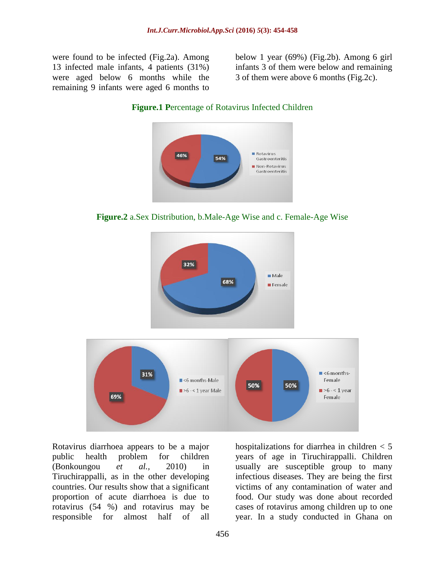were found to be infected (Fig.2a). Among 13 infected male infants, 4 patients (31%) were aged below 6 months while the remaining 9 infants were aged 6 months to

below 1 year (69%) (Fig.2b). Among 6 girl infants 3 of them were below and remaining 3 of them were above 6 months (Fig.2c).





**Figure.2** a.Sex Distribution, b.Male-Age Wise and c. Female-Age Wise



Rotavirus diarrhoea appears to be a major public health problem for children (Bonkoungou *et al.,* 2010) in Tiruchirappalli, as in the other developing countries. Our results show that a significant proportion of acute diarrhoea is due to rotavirus (54 %) and rotavirus may be responsible for almost half of all

hospitalizations for diarrhea in children < 5 years of age in Tiruchirappalli. Children usually are susceptible group to many infectious diseases. They are being the first victims of any contamination of water and food. Our study was done about recorded cases of rotavirus among children up to one year. In a study conducted in Ghana on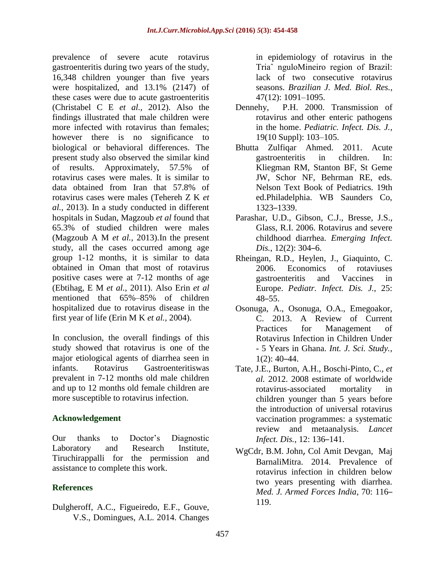prevalence of severe acute rotavirus gastroenteritis during two years of the study, 16,348 children younger than five years were hospitalized, and 13.1% (2147) of these cases were due to acute gastroenteritis (Christabel C E *et al.,* 2012). Also the findings illustrated that male children were more infected with rotavirus than females; however there is no significance to biological or behavioral differences. The present study also observed the similar kind of results. Approximately, 57.5% of rotavirus cases were males. It is similar to data obtained from Iran that 57.8% of rotavirus cases were males (Tehereh Z K *et al.,* 2013). In a study conducted in different hospitals in Sudan, Magzoub *et al* found that 65.3% of studied children were males (Magzoub A M *et al.,* 2013).In the present study, all the cases occurred among age group 1-12 months, it is similar to data obtained in Oman that most of rotavirus positive cases were at 7-12 months of age (Ebtihag, E M *et al.,* 2011). Also Erin *et al* mentioned that 65%–85% of children hospitalized due to rotavirus disease in the first year of life (Erin M K *et al.,* 2004).

In conclusion, the overall findings of this study showed that rotavirus is one of the major etiological agents of diarrhea seen in infants. Rotavirus Gastroenteritiswas prevalent in 7-12 months old male children and up to 12 months old female children are more susceptible to rotavirus infection.

## **Acknowledgement**

Our thanks to Doctor's Diagnostic Laboratory and Research Institute, Tiruchirappalli for the permission and assistance to complete this work.

## **References**

Dulgheroff, A.C., Figueiredo, E.F., Gouve, V.S., Domingues, A.L. 2014. Changes in epidemiology of rotavirus in the Triaˆ nguloMineiro region of Brazil: lack of two consecutive rotavirus seasons. *Brazilian J. Med. Biol. Res.,* 47(12): 1091–1095.

- Dennehy, P.H. 2000. Transmission of rotavirus and other enteric pathogens in the home. *Pediatric. Infect. Dis. J.,* 19(10 Suppl): 103–105.
- Bhutta Zulfiqar Ahmed. 2011. Acute gastroenteritis in children. In: Kliegman RM, Stanton BF, St Geme JW, Schor NF, Behrman RE, eds. Nelson Text Book of Pediatrics. 19th ed.Philadelphia. WB Saunders Co, 1323–1339.
- Parashar, U.D., Gibson, C.J., Bresse, J.S., Glass, R.I. 2006. Rotavirus and severe childhood diarrhea. *Emerging Infect. Dis.*, 12(2): 304–6.
- Rheingan, R.D., Heylen, J., Giaquinto, C. 2006. Economics of rotaviuses gastroenteritis and Vaccines in Europe. *Pediatr. Infect. Dis. J.,* 25: 48–55.
- Osonuga, A., Osonuga, O.A., Emegoakor, C. 2013. A Review of Current Practices for Management of Rotavirus Infection in Children Under - 5 Years in Ghana. *Int. J. Sci. Study.,*  $1(2): 40-44.$
- Tate, J.E., Burton, A.H., Boschi-Pinto, C., *et al.* 2012. 2008 estimate of worldwide rotavirus-associated mortality in children younger than 5 years before the introduction of universal rotavirus vaccination programmes: a systematic review and metaanalysis. *Lancet Infect. Dis.,* 12: 136–141.
- WgCdr, B.M. John, Col Amit Devgan, Maj BarnaliMitra. 2014. Prevalence of rotavirus infection in children below two years presenting with diarrhea. *Med. J. Armed Forces India,* 70: 116– 119.